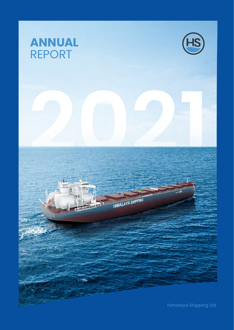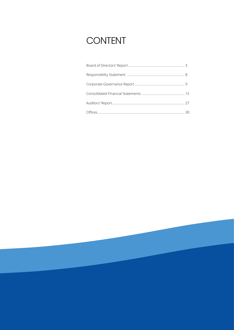# CONTENT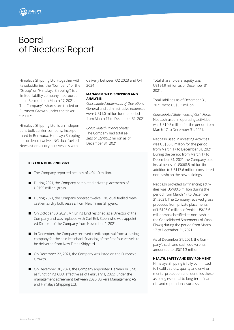Himalaya Shipping Ltd. (together with its subsidiaries, the "Company" or the "Group" or "Himalaya Shipping") is a limited liability company incorporated in Bermuda on March 17, 2021. The Company's shares are traded on Euronext Growth under the ticker "HSHIP".

Himalaya Shipping Ltd. is an independent bulk carrier company, incorporated in Bermuda. Himalaya Shipping has ordered twelve LNG dual fuelled Newcastlemax dry bulk vessels with

delivery between Q2 2023 and Q4 2024.

### **MANAGEMENT DISCUSSION AND ANALYSIS**

*Consolidated Statements of Operations*  General and administrative expenses were US\$1.0 million for the period from March 17 to December 31, 2021.

*Consolidated Balance Sheets* The Company had total assets of US\$95.2 million as of December 31, 2021.

Total shareholders' equity was US\$91.9 million as of December 31, 2021.

Total liabilities as of December 31, 2021, were US\$3.3 million.

*Consolidated Statements of Cash Flows* Net cash used in operating activities was US\$0.5 million for the period from March 17 to December 31, 2021.

Net cash used in investing activities was US\$68.8 million for the period from March 17 to December 31, 2021. During the period from March 17 to December 31, 2021 the Company paid instalments of US\$68.5 million (in addition to US\$13.6 million considered non-cash) on the newbuildings.

Net cash provided by financing activities was US\$80.6 million during the period from March 17 to December 31, 2021. The Company received gross proceeds from private placements of US\$95.0 million (of which US\$13.6 million was classified as non-cash in the Consolidated Statements of Cash Flows) during the period from March 17 to December 31, 2021

As of December 31, 2021, the Company's cash and cash equivalents amounted to US\$11.3 million.

### **HEALTH, SAFETY AND ENVIRONMENT**

Himalaya Shipping is fully committed to health, safety, quality and environmental protection and identifies these as being essential to long-term financial and reputational success.

### **KEY EVENTS DURING 2021**

- The Company reported net loss of US\$1.0 million.
- During 2021, the Company completed private placements of US\$95 million, gross.
- During 2021, the Company ordered twelve LNG dual fuelled Newcastlemax dry bulk vessels from New Times Shipyard.
- On October 30, 2021, Mr. Erling Lind resigned as a Director of the Company and was replaced with Carl Erik Steen who was appointed Director of the Company from November 1, 2021.
- $\blacksquare$  In December, the Company received credit approval from a leasing company for the sale leaseback financing of the first four vessels to be delivered from New Times Shipyard.
- On December 22, 2021, the Company was listed on the Euronext Growth.
- On December 30, 2021, the Company appointed Herman Billung as functioning CEO, effective as of February 1, 2022, under the management agreement between 2020 Bulkers Management AS and Himalaya Shipping Ltd.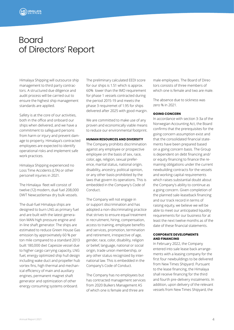Himalaya Shipping will outsource ship management to third party contractors. A structured due diligence and audit process will be carried out to ensure the highest ship management standards are applied.

Safety is at the core of our activities, both in the office and onboard our ships when delivered, and we have a commitment to safeguard persons from harm or injury and prevent damage to property. Himalaya's contracted employees are expected to identify operational risks and implement safe work practices.

Himalaya Shipping experienced no Loss Time Accidents (LTA) or other personell injuries in 2021.

The Himalaya fleet will consist of twelve (12) modern, dual fuel 208,000 DWT Newcastlemax dry bulk vessels.

The dual-fuel Himalaya ships are designed to burn LNG as primary fuel and are built with the latest generation MAN high pressure engine and in-line shaft generator. The ships are estimated to reduce Green House Gas emission by approximately 60 % per ton mile compared to a standard 2013 built 180,000 dwt Capesize vessel due to higher cargo carrying capacity, LNG fuel, energy optimized ship hull design including wake duct and propeller hub vortex fins, high thermal and mechanical efficiency of main and auxiliary engines, permanent magnet shaft generator and optimization of other energy consuming systems onboard.

The preliminary calculated EEDI score for our ships is 1.51 which is approx. 60% lower than the IMO requirement for phase 1 vessels contracted during the period 2015-19 and meets the phase 3 requiremet of 1.95 for ships delivered after 2025 with good margin.

We are committed to make use of any proven and economically viable means to reduce our environmental footprint.

### **HUMAN RESOURCES AND DIVERSITY**

The Company prohibits discrimination against any employee or prospective employee on the basis of sex, race, color, age, religion, sexual preference, marital status, national origin, disability, ancestry, political opinion, or any other basis prohibited by the laws that govern its operations. This is embedded in the Company's Code of Conduct.

The Company will not engage in or support discrimination and has adopted a non-discriminating practice that strives to ensure equal treatment in recruitment, hiring, compensation, access to training, employee benefits and services, promotion, termination and retirement, irrespective of age, gender, race, color, disability, religion or belief, language, national or social origin, trade union membership, or any other status recognized by international law. This is embedded in the Company's Code of Conduct.

The Company has no employees but has contracted management services from 2020 Bulkers Management AS of which one is female and three are

male employees. The Board of Directors consists of three members of which one is female and two are male.

The absence due to sickness was zero % in 2021.

### **GOING CONCERN**

In accordance with section 3-3a of the Norwegian Accounting Act, the Board confirms that the prerequisites for the going concern assumption exist and that the consolidated financial statements have been prepared based on a going concern basis. The Group is dependent on debt financing and/ or equity financing to finance the remaining obligations under the current newbuilding contracts for the vessels and working capital requirements which raises substantial doubt about the Company's ability to continue as a going concern. Given completion of the planned sale-leaseback financing and our track record in terms of raising equity, we believe we will be able to meet our anticipated liquidity requirements for our business for at least the next twelve months as of the date of these financial statements.

### **CORPORATE DEVELOPMENTS AND FINANCING**

In February 2022, the Company entered into sale lease back arrangements with a leasing company for the first four newbuildings to be delivered from New Times Shipyard. Pursuant to the lease financing, the Himalaya shall receive financing for the third and fourth pre-delivery instalments. In addition, upon delivery of the relevant vessels from New Times Shipyard, the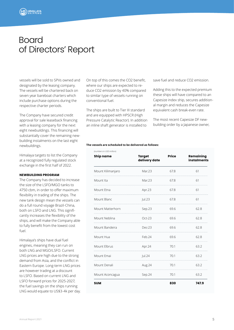vessels will be sold to SPVs owned and designated by the leasing company. The vessels will be chartered back on seven year bareboat charters which include purchase options during the respective charter periods.

The Company have secured credit approval for sale leaseback financing with a leasing company for the next eight newbuildings. This financing will substantially cover the remaining newbuilding instalments on the last eight newbuildings.

Himalaya targets to list the Company at a recognized fully regulated stock exchange in the first half of 2022.

### **NEWBUILDING PROGRAM**

The Company has decided to increase the size of the LSFO/MGO tanks to 4750 cbm, in order to offer maximum flexibility in trading of the ships. The new tank design mean the vessels can do a full round voyage Brazil-China, both on LSFO and LNG. This significantly increases the flexibility of the ships, and will make the Company able to fully benefit from the lowest cost fuel.

Himalaya's ships have dual fuel engines, meaning they can run on both LNG and MGO/LSFO. Current LNG prices are high due to the strong demand from Asia, and the conflict in Eastern Europe. Long-term LNG prices are however trading at a discount to LSFO. Based on current LNG and LSFO forward prices for 2025-2027, the fuel savings on the ships running LNG would equate to US\$3-4k per day.

On top of this comes the CO2 benefit, where our ships are expected to reduce CO2 emission by 40% compared to similar type of vessels running on conventional fuel.

The ships are built to Tier III standard and are equipped with HPSCR (High Pressure Catalytic Reactor). In addition an inline shaft generator is installed to

save fuel and reduce CO2 emission.

Adding this to the expected premium these ships will have compared to an Capesize index ship, secures additional margin and reduces the Capesize equivalent cash break-even rate.

The most recent Capesize DF newbuilding order by a Japanese owner,

#### **The vessels are scheduled to be delivered as follows:**

| (numbers in USD million) |                                |              |                                 |
|--------------------------|--------------------------------|--------------|---------------------------------|
| Ship name                | <b>Target</b><br>delivery date | <b>Price</b> | Remaining<br><b>instalments</b> |
| Mount Kilimanjaro        | Mar.23                         | 67.8         | 61                              |
| Mount Ita                | Mar.23                         | 67.8         | 61                              |
| Mount Etna               | Apr.23                         | 67.8         | 61                              |
| Mount Blanc              | ul.23                          | 67.8         | 61                              |
| Mount Matterhorn         | Sep.23                         | 69.6         | 62.8                            |
| Mount Neblina            | $Oct-23$                       | 69.6         | 62.8                            |
| Mount Bandeira           | Dec-23                         | 69.6         | 62.8                            |
| Mount Hua                | Feb.24                         | 69.6         | 62.8                            |
| Mount Elbrus             | Apr.24                         | 70.1         | 63.2                            |
| Mount Emai               | ul.24                          | 70.1         | 63.2                            |
| Mount Denali             | Aug.24                         | 70.1         | 63.2                            |
| Mount Aconcagua          | Sep.24                         | 70.1         | 63.2                            |
| SUM                      |                                | 830          | 747.9                           |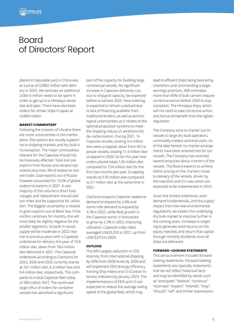placed in reputable yard in China was at a price of US\$82 million with delivery in 2025. We estimate an additional US\$4-6 million needs to be spent in order to get up to a Himalaya vessel size and spec. There have also been orders for similar ships in Japan at US\$90 million.

### **MARKET COMMENTARY**

Following the invasion of Ukraine there are more uncertainties in the marketplace. Disruptions are usually supportive to shipping markets and dry bulk is no exception. The major commodities relevant for the Capesize should not be massively affected. Total iron ore exports from Russia and Ukraine represents less than 3% of seaborne iron ore trade. Coal exports out of Russia however accounted for 13,5% of global seaborne exports in 2021. A vast majority of this volume is short haul voyages and replacement should add ton-miles and be supportive for utilization. The biggest uncertainty is related to grain exports out of Black Sea. If the conflict continues for months, this will most likely be slightly negative for the smaller segments. Growth in vessel supply will be moderate in 2022 relative to previous years with a Capesize orderbook for delivery this year of 10.8 million dwt, down from 18.6 million dwt delivered in 2021. The Capesize orderbook according to Clarksons for 2023, 2024 and 2025 currently stands at 10.1 million dwt, 6.3 million dwt and 0.4 million dwt, respectively. This compares to a total Capesize fleet today of 380 million DWT. The continued large influx of orders for container vessels has absorbed a significant

part of the capacity for building large commercial vessels. No significant increase in Capesize deliveries can, due to shipyard capacity, be expected before at earliest 2025. New ordering is expected to remain subdued due to lack of financing available from traditional lenders, as well as technological uncertainties as it relates to the optimal propulsion systems to meet the shipping industry's ambitions for de-carbonization. During 2021, 14 Capesize vessels, totaling 3.4 million dwt were scrapped, down from 49 Capesize vessels, totaling 11.4 million dwt scrapped in 2020. So far this year new orders placed totals 1.65 million dwt compared to 7.54 million dwt for the first two months last year. Scrapping stands at 0.35 million dwt compared to 3.1 million dwt at the same time in 2021.

Clarksons expects Capesize seaborne demand to expand by 2.6% and tonne mile demand to expand by 3.1% in 2022, while fleet growth in the Capesize sector is forecasted to grow by 2.3% in 2022, improving utilization. Capesize index rates averaged US\$33,333 in 2021, up from US\$13,073 in 2020.

### **OUTLOOK**

The IMO targets reduction in CO2 intensity from international shipping by 40% from 2008 levels by 2030 and will implement EEXI (Energy Efficiency Existing Ship Index) and CII (Carbon Intensity Indicator) by January 2023. The implementations of EEXI and CII are expected to reduce the average sailing speed of the global fleet, which may

lead to efficient ships being favored by charterers and commanding a larger earnings premium. ABS estimates more than 80% of bulk carriers require corrective action before 2030 to stay compliant. The Himalaya ships, which will not need to take corrective action, and hence will benefit from the tighter regulation.

The Company aims to charter out its vessels to large dry bulk operators, commodity traders and end users. As of the date hereof, no charter arrangements have been entered into for our vessels. The Company has received several enquiries about charters of the vessels. The Board expects to achieve better pricing on the charters closer to delivery of the vessels, driven by the new EEXI and CII rules which are expected to be implemented in 2023.

Given the limited orderbook, solid demand fundamentals, and the supply impact from the new environmental regulations, we expect the underlying dry bulk market to improve further in the coming years. Himalaya is targeting to generate solid returns on the equity injected, and return that capital through monthly dividends once all ships are delivered.

### **FORWARD-LOOKING STATEMENTS**

This announcement includes forward looking statements. Forward looking statements are, typically, statements that do not reflect historical facts and may be identified by words such as "anticipate", "believe", "continue", "estimate", "expect", "intends", "may", "should", "will" and similar expressions.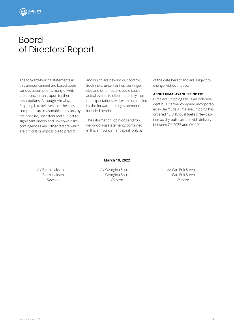The forward-looking statements in this announcement are based upon various assumptions, many of which are based, in turn, upon further assumptions. Although Himalaya Shipping Ltd. believes that these assumptions are reasonable, they are, by their nature, uncertain and subject to significant known and unknown risks, contingencies and other factors which are difficult or impossible to predict

and which are beyond our control. Such risks, uncertainties, contingencies and other factors could cause actual events to differ materially from the expectations expressed or implied by the forward-looking statements included herein.

The information, opinions and forward-looking statements contained in this announcement speak only as of the date hereof and are subject to change without notice.

### **ABOUT HIMALAYA SHIPPING LTD.:**

Himalaya Shipping Ltd. is an independent bulk carrier company, incorporated in Bermuda. Himalaya Shipping has ordered 12 LNG dual fuelled Newcastlemax dry bulk carriers with delivery between Q2 2023 and Q4 2024.

### **March 10, 2022**

/s/ Bjørn Isaksen /s/ Georgina Sousa /s/ Georgina Sousa /s/ Carl Erik Steen Bjørn Isaksen Georgina Sousa Carl Erik Steen Georgina Sousa *Director Director Director*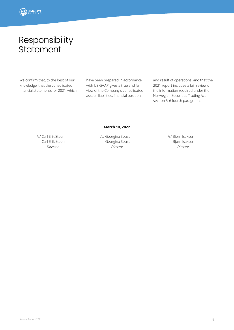# <span id="page-7-0"></span>Responsibility **Statement**

We confirm that, to the best of our knowledge, that the consolidated financial statements for 2021, which

have been prepared in accordance with US GAAP gives a true and fair view of the Company's consolidated assets, liabilities, financial position

and result of operations, and that the 2021 report includes a fair review of the information required under the Norwegian Securities Trading Act section 5-6 fourth paragraph.

**March 10, 2022**

/s/ Carl Erik Steen /s/ Georgina Sousa /s/ Georgina Sousa /s/ Bjørn Isaksen Carl Erik Steen Georgina Sousa Bjørn Isaksen *Director Director Director*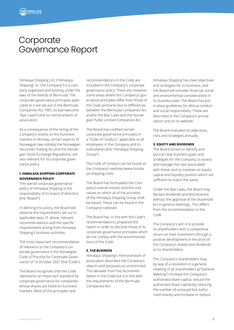<span id="page-8-0"></span>Himalaya Shipping Ltd. ("Himalaya Shipping" or "the Company") is a company organized and existing under the laws of the Islands of Bermuda. The corporate governance principles applicable to it are set out in the Bermuda Companies Act 1981, its bye-laws (the "Bye-Laws") and its memorandum of association.

As a consequence of the listing of the Company's shares on the Euronext markets in Norway, certain aspects of Norwegian law, notably the Norwegian Securities Trading Act and the Norwegian Stock Exchange Regulations, are also relevant for its corporate governance policy.

### **1. HIMALAYA SHIPPING CORPORATE GOVERNANCE POLICY**

The overall corporate governance policy of Himalaya Shipping is the responsibility of its board of directors (the "Board").

In defining this policy, the Board will observe the requirements set out in applicable laws, cf. above, relevant recommendations and the specific requirements arising from Himalaya Shipping's business activities.

The most important recommendation of relevance to the Company's corporate governance is the Norwegian Code of Practise for Corporate Governance of 14 October 2021 (the "Code").

The Board recognizes that the Code represents an important standard for corporate governance for companies whose shares are listed on Euronext markets. Most of the principles and

recommendations in the Code are included in the Company's corporate governance policy. There are, however, some areas where the Company's governance principles differ from those of the Code, primarily due to differences between the Bermuda Companies Act and/or the Bye-Laws and the Norwegian Public Limited Companies Act.

The Board has codified certain corporate governance principles in a "Code of Conduct," applicable to all employees in the Company and its subsidiaries (the "Himalaya Shipping Group").

The Code of Conduct can be found on the Company's website (www.himalaya-shipping.com).

The Board has formulated the Company's overall mission and the core values on which all of the activities of the Himalaya Shipping Group shall be based. These can be found in the Company's website.

The Board has, in line with the Code's recommendations, prepared this report in order to disclose those of its corporate governance principles which do not comply with the recommendations of the Code.

### **2. THE BUSINESS**

Himalaya Shipping's memorandum of association describes the Company's objects and purposes as unrestricted. This deviates from the recommendation in the Code but is in line with the requirements of the Bermuda Companies Act.

Himalaya Shipping has clear objectives and strategies for its business, and the Board will consider financial, social and environmental considerations in its business plan. The Board has put in place guidelines for ethical conduct and social responsibility. These are described in the Company's annual report and on its website.

The Board evaluates its objectives, risks and strategies annually.

### **3. EQUITY AND DIVIDENDS**

The Board strives to identify and pursue clear business goals and strategies for the Company, to assess and manage the risks associated with these, and to maintain an equity capital and liquidity position which are sufficient to match the same.

Under the Bye-Laws, the Board may declare dividends and distributions without the approval of the shareholders in general meetings. This differs from the recommendation in the Code.

The Company's aim is to provide its shareholders with a competitive return on their investment through a positive development in the price of the Company's shares and dividends to its shareholders.

The Company's shareholders may, by way of a resolution in a general meeting of all shareholders (a "General Meeting") increase the Company's authorized share capital, reduce the authorized share capital (by reducing the number of unissued but authorized shares) and increase or reduce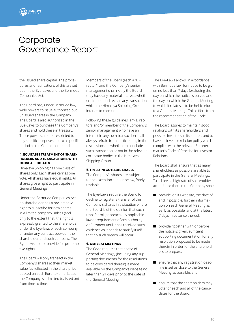the issued share capital. The procedures and ratifications of this are set out in the Bye-Laws and the Bermuda Companies Act.

The Board has, under Bermuda law, wide powers to issue authorized but unissued shares in the Company. The Board is also authorized in the Bye-Laws to purchase the Company's shares and hold these in treasury. These powers are not restricted to any specific purposes nor to a specific period as the Code recommends.

### **4. EQUITABLE TREATMENT OF SHARE-HOLDERS AND TRANSACTIONS WITH CLOSE ASSOCIATES**

Himalaya Shipping has one class of shares only. Each share carries one vote. All shares have equal rights. All shares give a right to participate in General Meetings.

Under the Bermuda Companies Act, no shareholder has a pre-emptive right to subscribe for new shares in a limited company unless (and only to the extent that) the right is expressly granted to the shareholder under the bye-laws of such company or under any contract between the shareholder and such company. The Bye-Laws do not provide for pre-emptive rights.

The Board will only transact in the Company's shares at their market value (as reflected in the share price quoted on such Euronext market as the Company is admitted to/listed on) from time to time.

Members of the Board (each a "Director") and the Company's senior management shall notify the Board if they have any material interest, whether direct or indirect, in any transaction which the Himalaya Shipping Group intends to conclude.

Following these guidelines, any Directors and/or member of the Company's senior management who have an interest in any such transaction shall always refrain from participating in the discussions on whether to conclude such transaction or not in the relevant corporate bodies in the Himalaya Shipping Group.

### **5. FREELY NEGOTIABLE SHARES**

The Company's shares are, subject to the exception set out below, freely tradable.

The Bye-Laws require the Board to decline to register a transfer of the Company's shares in a situation where the Board is of the opinion that such transfer might breach any applicable law or requirement of any authority or Euronext until it has received such evidence as it needs to satisfy itself that no such breach will occur.

### **6. GENERAL MEETINGS**

The Code requires that notice of General Meetings, (including any supporting documents for the resolutions to be considered therein) is made available on the Company's website no later than 21 days prior to the date of the General Meeting.

The Bye-Laws allows, in accordance with Bermuda law, for notice to be given no less than 7 days (excluding the day on which the notice is served and the day on which the General Meeting to which it relates is to be held) prior to a General Meeting. This differs from the recommendation of the Code.

The Board aspires to maintain good relations with its shareholders and possible investors in its shares, and to have an investor relation policy which complies with the relevant Euronext market's Code of Practice for Investor Relations.

The Board shall ensure that as many shareholders as possible are able to participate in the General Meetings. To achieve a high rate of shareholder attendance therein the Company shall:

- $\Box$  provide, on its website, the date of and, if possible, further information on each General Meeting as early as possible, and at the latest 7 days in advance thereof;
- provide, together with or before the notice is given, sufficient supporting documentation for any resolution proposed to be made therein in order for the shareholders to prepare;
- **E** ensure that any registration deadline is set as close to the General Meeting as possible; and
- $\blacksquare$  ensure that the shareholders may vote for each and all of the candidates for the Board.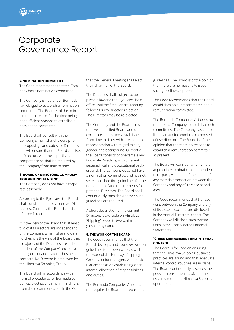### **7. NOMINATION COMMITTEE**

The Code recommends that the Company has a nomination committee.

The Company is not, under Bermuda law, obliged to establish a nomination committee. The Board is of the opinion that there are, for the time being, not sufficient reasons to establish a nomination committee.

The Board will consult with the Company's main shareholders prior to proposing candidates for Directors and will ensure that the Board consists of Directors with the expertise and competence as shall be required by the Company from time to time.

### **8. BOARD OF DIRECTORS, COMPOSI-TION AND INDEPENDENCE**

The Company does not have a corporate assembly.

According to the Bye-Laws the Board shall consist of not less than two Directors. Currently the Board consists of three Directors.

It is the view of the Board that at least two of its Directors are independent of the Company's main shareholders. Further, it is the view of the Board that a majority of the Directors are independent of the Company's executive management and material business contacts. No Director is employed by the Himalaya Shipping Group.

The Board will, in accordance with normal procedures for Bermuda companies, elect its chairman. This differs from the recommendation in the Code

that the General Meeting shall elect their chairman of the Board.

The Directors shall, subject to applicable law and the Bye-Laws, hold office until the first General Meeting following such Director's election. The Directors may be re-elected.

The Company and the Board aims to have a qualified Board (and other corporate committees established from time to time), with a reasonable representation with regard to age, gender and background. Currently, the Board consists of one female and two male Directors, with different geographical and occupational background. The Company does not have a nomination committee, and has not yet established firm guidelines for the nomination of and requirements for potential Directors. The Board shall continuously consider whether such guidelines are required.

A short description of the current Directors is available on Himalaya Shipping's website (www.himalaya-shipping.com).

### **9. THE WORK OF THE BOARD**

The Code recommends that the Board develops and approves written guidelines for its own work as well as the work of the Himalaya Shipping Group's senior managers with particular emphasis on establishing clear internal allocation of responsibilities and duties.

The Bermuda Companies Act does not require the Board to prepare such guidelines. The Board is of the opinion that there are no reasons to issue such guidelines at present.

The Code recommends that the Board establishes an audit committee and a remuneration committee.

The Bermuda Companies Act does not require the Company to establish such committees. The Company has established an audit committee comprised of two directors. The Board is of the opinion that there are no reasons to establish a remuneration committee at present.

The Board will consider whether it is appropriate to obtain an independent third-party valuation of the object of any material transaction between the Company and any of its close associates.

The Code recommends that transactions between the Company and any of its close associates are disclosed in the Annual Directors' report. The Company will disclose such transactions in the Consolidated Financial **Statements** 

### **10. RISK MANAGEMENT AND INTERNAL CONTROL**

The Board is focused on ensuring that the Himalaya Shipping business practices are sound and that adequate internal control routines are in place. The Board continuously assesses the possible consequences of, and the risks related to the Himalaya Shipping operations.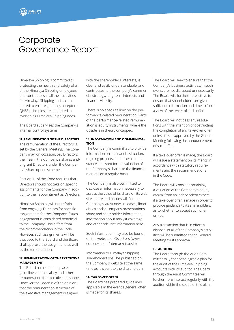Himalaya Shipping is committed to protecting the health and safety of all of the Himalaya Shipping employees and contractors in all their activities for Himalaya Shipping and is committed to ensure generally accepted QHSE principles are integrated in everything Himalaya Shipping does.

The Board supervises the Company's internal control systems.

### **11. REMUNERATION OF THE DIRECTORS**

The remuneration of the Directors is set by the General Meeting. The Company may, on occasion, pay Directors their fee in the Company's shares and/ or grant Directors under the Company's share option scheme.

Section 11 of the Code requires that Directors should not take on specific assignments for the Company in addition to their appointment as Directors.

Himalaya Shipping will not refrain from engaging Directors for specific assignments for the Company if such engagement is considered beneficial to the Company. This differs from the recommendation in the Code. However, such assignments will be disclosed to the Board and the Board shall approve the assignment, as well as the remuneration.

### **12. REMUNERATION OF THE EXECUTIVE MANAGEMENT**

The Board has not put in place guidelines on the salary and other remuneration for executive personnel. However the Board is of the opinion that the remuneration structure of the executive management is aligned

with the shareholders' interests, is clear and easily understandable, and contributes to the company's commercial strategy, long-term interests and financial viability.

There is no absolute limit on the performance-related remuneration. Parts of the performance-related remuneration is equity instruments, where the upside is in theory uncapped.

### **13. INFORMATION AND COMMUNICA-TION**

The Company is committed to provide information on its financial situation, ongoing projects, and other circumstances relevant for the valuation of the Company's shares to the financial markets on a regular basis.

The Company is also committed to disclose all information necessary to assess the value of its share on its web site. Interested parties will find the Company's latest news releases, financial calendar, company presentations, share and shareholder information, information about analyst coverage and other relevant information here.

Such information may also be found on the website of Oslo Børs (www. euronext.com/nb/markets/oslo).

Information to Himalaya Shipping shareholders shall be published on the Company's website at the same time as it is sent to the shareholders.

### **14. TAKEOVER OFFER**

The Board has prepared guidelines applicable in the event a general offer is made for its shares.

The Board will seek to ensure that the Company's business activities, in such event, are not disrupted unnecessarily. The Board will, furthermore, strive to ensure that shareholders are given sufficient information and time to form a view of the terms of such offer.

The Board will not pass any resolutions with the intention of obstructing the completion of any take-over offer unless this is approved by the General Meeting following the announcement of such offer.

If a take-over offer is made, the Board will issue a statement on its merits in accordance with statutory requirements and the recommendations in the Code.

The Board will consider obtaining a valuation of the Company's equity capital from an independent expert if a take-over offer is made in order to provide guidance to its shareholders as to whether to accept such offer or not.

Any transaction that is in effect a disposal of all of the Company's activities will be submitted to the General Meeting for its approval.

### **15. AUDITOR**

The Board through the Audit Committee will, each year, agree a plan for the audit of the Himalaya Shipping accounts with its auditor. The Board through the Audit Committee will furthermore interact regularly with the auditor within the scope of this plan.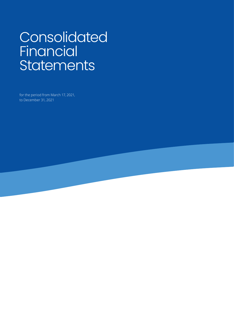# <span id="page-12-0"></span>**Consolidated Financial Statements**

for the period from March 17, 2021, to December 31, 2021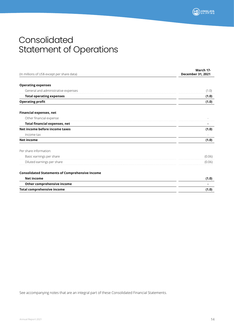

# Consolidated Statement of Operations

| (In millions of US\$ except per share data)            | March 17-<br>December 31, 2021 |
|--------------------------------------------------------|--------------------------------|
|                                                        |                                |
| <b>Operating expenses</b>                              |                                |
| General and administrative expenses                    | (1.0)                          |
| <b>Total operating expenses</b>                        | (1.0)                          |
| <b>Operating profit</b>                                | (1.0)                          |
| <b>Financial expenses, net</b>                         |                                |
| Other financial expense                                |                                |
| <b>Total financial expenses, net</b>                   |                                |
| Net income before income taxes                         | (1.0)                          |
| Income tax                                             |                                |
| <b>Net income</b>                                      | (1.0)                          |
| Per share information:                                 |                                |
| Basic earnings per share                               | (0.06)                         |
| Diluted earnings per share                             | (0.06)                         |
| <b>Consolidated Statements of Comprehensive Income</b> |                                |
| <b>Net income</b>                                      | (1.0)                          |
| Other comprehensive income                             |                                |
| <b>Total comprehensive income</b>                      | (1.0)                          |
|                                                        |                                |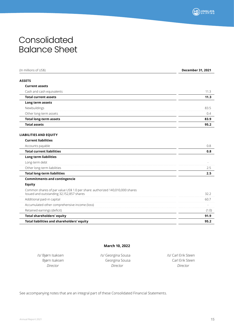

# Consolidated Balance Sheet

| (In millions of US\$)                                                                                                    | December 31, 2021 |
|--------------------------------------------------------------------------------------------------------------------------|-------------------|
| <b>ASSETS</b>                                                                                                            |                   |
| <b>Current assets</b>                                                                                                    |                   |
| Cash and cash equivalents                                                                                                | 11.3              |
| <b>Total current assets</b>                                                                                              | 11.3              |
| Long term assets                                                                                                         |                   |
| Newbuildings                                                                                                             | 83.5              |
| Other long-term assets                                                                                                   | 0.4               |
| <b>Total long-term assets</b>                                                                                            | 83.9              |
| <b>Total assets</b>                                                                                                      | 95.2              |
|                                                                                                                          |                   |
| <b>LIABILITIES AND EQUITY</b><br><b>Current liabilities</b>                                                              |                   |
| Accounts payable                                                                                                         | 0.8               |
| <b>Total current liabilities</b>                                                                                         | 0.8               |
| Long term liabilities                                                                                                    |                   |
| Long-term debt                                                                                                           |                   |
| Other long-term liabilities                                                                                              | 2.5               |
| <b>Total long-term liabilities</b>                                                                                       | 2.5               |
| <b>Commitments and contingencie</b>                                                                                      |                   |
| <b>Equity</b>                                                                                                            |                   |
| Common shares of par value US\$ 1.0 per share: authorized 140,010,000 shares<br>Issued and outstanding 32,152,857 shares | 32.2              |
| Additional paid-in capital                                                                                               | 60.7              |
| Accumulated other comprehensive income (loss)                                                                            |                   |
| Retained earnings (deficit)                                                                                              | (1.0)             |
| <b>Total shareholders' equity</b>                                                                                        | 91.9              |
| Total liabilities and shareholders' equity                                                                               | 95.2              |

### **March 10, 2022**

 Bjørn Isaksen Georgina Sousa Carl Erik Steen *Director Director Director*

/s/ Bjørn Isaksen /s/ Georgina Sousa /s/ Carl Erik Steen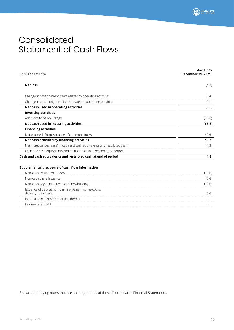

# Consolidated Statement of Cash Flows

| (In millions of US\$)                                                       | March 17-<br>December 31, 2021 |
|-----------------------------------------------------------------------------|--------------------------------|
| <b>Net loss</b>                                                             | (1.0)                          |
| Change in other current items related to operating activities               | 0.4                            |
| Change in other long-term items related to operating activities             | 0.1                            |
| Net cash used in operating activities                                       | (0.5)                          |
| <b>Investing activities</b>                                                 |                                |
| Additions to newbuildings                                                   | (68.8)                         |
| Net cash used in investing activities                                       | (68.8)                         |
| <b>Financing activities</b>                                                 |                                |
| Net proceeds from issuance of common stocks                                 | 80.6                           |
| Net cash provided by financing activities                                   | 80.6                           |
| Net increase (decrease) in cash and cash equivalents and restricted cash    | 11.3                           |
| Cash and cash equivalents and restricted cash at beginning of period        |                                |
| Cash and cash equivalents and restricted cash at end of period              | 11.3                           |
| Supplemental disclosure of cash flow information                            |                                |
| Non-cash settlement of debt                                                 | (13.6)                         |
| Non-cash share issuance                                                     | 13.6                           |
| Non-cash payment in respect of newbuildings                                 | (13.6)                         |
| Issuance of debt as non-cash settlement for newbuild<br>delivery instalment | 13.6                           |
| Interest paid, net of capitalised interest                                  |                                |
| Income taxes paid                                                           |                                |
|                                                                             |                                |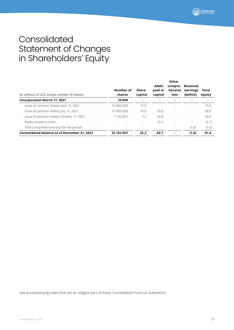

# Consolidated Statement of Changes in Shareholders' Equity

| (In millions of US\$, except number of shares) | Number of<br>shares | Share<br>capital | Addit.<br>paid-in<br>capital | Other<br>compre-<br>hensive<br>loss | Retained<br>earnings<br>(deficit | Total |
|------------------------------------------------|---------------------|------------------|------------------------------|-------------------------------------|----------------------------------|-------|
| <b>Incorporation March 17, 2021</b>            | 10 000              |                  |                              |                                     |                                  |       |
| Issue of common shares June 15, 2021           | 15 000 000          |                  |                              |                                     |                                  |       |
| Issue of common shares July 12, 2021           | IN NNN NNN          | 10 O             | 20 Q                         |                                     |                                  | 30 O  |
| Issue of common shares October 11, 2021        | / 142 857           | 72               | 42.8                         |                                     |                                  | 50 C  |
| Equity issuance costs                          |                     |                  |                              |                                     |                                  |       |
| Total comprehensive loss for the period        |                     |                  |                              |                                     |                                  | 1.01  |
| Consolidated balance as of December 31, 2021   | 32 152 857          | 32.2             | 60.7                         |                                     | (1.0)                            |       |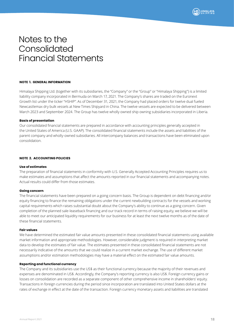

### Notes to the Consolidated Financial Statements

### **NOTE 1. GENERAL INFORMATION**

Himalaya Shipping Ltd. (together with its subsidiaries, the "Company" or the "Group" or "Himalaya Shipping") is a limited liability company incorporated in Bermuda on March 17, 2021. The Company's shares are traded on the Euronext Growth list under the ticker "HSHIP". As of December 31, 2021, the Company had placed orders for twelve dual fueled Newcastlemax dry bulk vessels at New Times Shipyard in China. The twelve vessels are expected to be delivered between March 2023 and September 2024. The Group has twelve wholly owned ship owning subsidiaries incorporated in Liberia.

### **Basis of presentation**

Our consolidated financial statements are prepared in accordance with accounting principles generally accepted in the United States of America (U.S. GAAP). The consolidated financial statements include the assets and liabilities of the parent company and wholly-owned subsidiaries. All intercompany balances and transactions have been eliminated upon consolidation.

### **NOTE 2. ACCOUNTING POLICIES**

### **Use of estimates**

The preparation of financial statements in conformity with U.S. Generally Accepted Accounting Principles requires us to make estimates and assumptions that affect the amounts reported in our financial statements and accompanying notes. Actual results could differ from those estimates.

### **Going concern**

The financial statements have been prepared on a going concern basis. The Group is dependent on debt financing and/or equity financing to finance the remaining obligations under the current newbuilding contracts for the vessels and working capital requirements which raises substantial doubt about the Company's ability to continue as a going concern. Given completion of the planned sale-leaseback financing and our track record in terms of raising equity, we believe we will be able to meet our anticipated liquidity requirements for our business for at least the next twelve months as of the date of these financial statements.

### **Fair values**

We have determined the estimated fair value amounts presented in these consolidated financial statements using available market information and appropriate methodologies. However, considerable judgment is required in interpreting market data to develop the estimates of fair value. The estimates presented in these consolidated financial statements are not necessarily indicative of the amounts that we could realize in a current market exchange. The use of different market assumptions and/or estimation methodologies may have a material effect on the estimated fair value amounts.

### **Reporting and functional currency**

The Company and its subsidiaries use the US\$ as their functional currency because the majority of their revenues and expenses are denominated in US\$. Accordingly, the Company's reporting currency is also US\$. Foreign currency gains or losses on consolidation are recorded as a separate component of other comprehensive income in shareholders' equity. Transactions in foreign currencies during the period since incorporation are translated into United States dollars at the rates of exchange in effect at the date of the transaction. Foreign currency monetary assets and liabilities are translated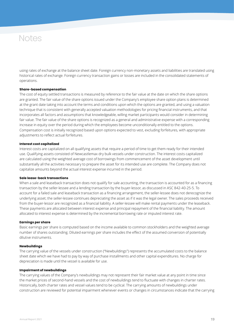using rates of exchange at the balance sheet date. Foreign currency non-monetary assets and liabilities are translated using historical rates of exchange. Foreign currency transaction gains or losses are included in the consolidated statements of operations.

### **Share-based compensation**

The cost of equity settled transactions is measured by reference to the fair value at the date on which the share options are granted. The fair value of the share options issued under the Company's employee share option plans is determined at the grant date taking into account the terms and conditions upon which the options are granted, and using a valuation technique that is consistent with generally accepted valuation methodologies for pricing financial instruments, and that incorporates all factors and assumptions that knowledgeable, willing market participants would consider in determining fair value. The fair value of the share options is recognized as a general and administrative expense with a corresponding increase in equity over the period during which the employees become unconditionally entitled to the options. Compensation cost is initially recognized based upon options expected to vest, excluding forfeitures, with appropriate adjustments to reflect actual forfeitures.

### **Interest cost capitalized**

Interest costs are capitalized on all qualifying assets that require a period of time to get them ready for their intended use. Qualifying assets consisted of Newcastlemax dry bulk vessels under construction. The interest costs capitalized are calculated using the weighted average cost of borrowings from commencement of the asset development until substantially all the activities necessary to prepare the asset for its intended use are complete. The Company does not capitalize amounts beyond the actual interest expense incurred in the period.

### **Sale lease-back transactions**

When a sale and leaseback transaction does not qualify for sale accounting, the transaction is accounted for as a financing transaction by the seller-lessee and a lending transaction by the buyer-lessor, as discussed in ASC 842-40-25-5. To account for a failed sale and leaseback transaction as a financing arrangement, the seller-lessee does not derecognize the underlying asset; the seller-lessee continues depreciating the asset as if it was the legal owner. The sales proceeds received from the buyer-lessor are recognized as a financial liability. A seller-lessee will make rental payments under the leaseback. These payments are allocated between interest expense and principal repayment of the financial liability. The amount allocated to interest expense is determined by the incremental borrowing rate or imputed interest rate.

### **Earnings per share**

Basic earnings per share is computed based on the income available to common stockholders and the weighted average number of shares outstanding. Diluted earnings per share includes the effect of the assumed conversion of potentially dilutive instruments.

### **Newbuildings**

The carrying value of the vessels under construction ("Newbuildings") represents the accumulated costs to the balance sheet date which we have had to pay by way of purchase installments and other capital expenditures. No charge for depreciation is made until the vessel is available for use.

### **Impairment of newbuildings**

The carrying values of the Company's newbuildings may not represent their fair market value at any point in time since the market prices of second-hand vessels and the cost of newbuildings tend to fluctuate with changes in charter rates. Historically, both charter rates and vessel values tend to be cyclical. The carrying amounts of newbuildings under construction are reviewed for potential impairment whenever events or changes in circumstances indicate that the carrying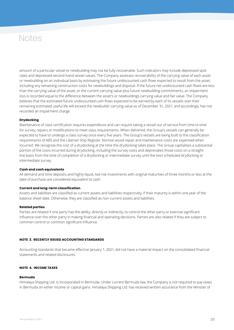amount of a particular vessel or newbuilding may not be fully recoverable. Such indicators may include depressed spot rates and depressed second-hand vessel values. The Company assesses recoverability of the carrying value of each asset or newbuilding on an individual basis by estimating the future undiscounted cash flows expected to result from the asset, including any remaining construction costs for newbuildings and disposal. If the future net undiscounted cash flows are less than the carrying value of the asset, or the current carrying value plus future newbuilding commitments, an impairment loss is recorded equal to the difference between the asset's or newbuildings carrying value and fair value. The Company believes that the estimated future undiscounted cash flows expected to be earned by each of its vessels over their remaining estimated useful life will exceed the newbuilds' carrying value as of December 31, 2021, and accordingly, has not recorded an impairment charge.

### **Drydocking**

Maintenance of class certification requires expenditure and can require taking a vessel out of service from time to time for survey, repairs or modifications to meet class requirements. When delivered, the Group's vessels can generally be expected to have to undergo a class survey once every five years. The Group's vessels are being built to the classification requirements of ABS and the Liberian Ship Register. Normal vessel repair and maintenance costs are expensed when incurred. We recognize the cost of a drydocking at the time the drydocking takes place. The Group capitalises a substantial portion of the costs incurred during drydocking, including the survey costs and depreciates those costs on a straightline basis from the time of completion of a drydocking or intermediate survey until the next scheduled drydocking or intermediate survey.

### **Cash and cash equivalents**

All demand and time deposits and highly liquid, low risk investments with original maturities of three months or less at the date of purchase are considered equivalent to cash.

### **Current and long-term classification**

Assets and liabilities are classified as current assets and liabilities respectively, if their maturity is within one year of the balance sheet date. Otherwise, they are classified as non-current assets and liabilities.

### **Related parties**

Parties are related if one party has the ability, directly or indirectly, to control the other party or exercise significant influence over the other party in making financial and operating decisions. Parties are also related if they are subject to common control or common significant influence.

### **NOTE 3. RECENTLY ISSUED ACCOUNTING STANDARDS**

Accounting standards that became effective January 1, 2021, did not have a material impact on the consolidated financial statements and related disclosures.

### **NOTE 4. INCOME TAXES**

### **Bermuda**

Himalaya Shipping Ltd. is incorporated in Bermuda. Under current Bermuda law, the Company is not required to pay taxes in Bermuda on either income or capital gains. Himalaya Shipping Ltd. has received written assurance from the Minister of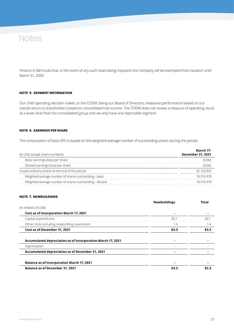Finance in Bermuda that, in the event of any such taxes being imposed, the Company will be exempted from taxation until March 31, 2035.

### **NOTE 5. SEGMENT INFORMATION**

Our chief operating decision maker, or the CODM, being our Board of Directors, measures performance based on our overall return to shareholders based on consolidated net income. The CODM does not review a measure of operating result at a lower level than the consolidated group and we only have one reportable segment.

### **NOTE 6. EARNINGS PER SHARE**

The computation of basic EPS is based on the weighted average number of outstanding shares during the period.

| (In US\$, except share numbers)                         | December 31, 2021 |
|---------------------------------------------------------|-------------------|
| Basic earnings (loss) per share                         |                   |
| Diluted earnings (loss) per share                       |                   |
| Issued ordinary shares at the end of the period         | 32 152 857        |
| Weighted average number of shares outstanding - basic   | 18 316 970        |
| Weighted average number of shares outstanding - diluted | 18 316 970        |

### **NOTE 7. NEWBUILDINGS**

|                                                             | <b>Newbuildings</b> | Total |
|-------------------------------------------------------------|---------------------|-------|
| (In millions of US\$)                                       |                     |       |
| Cost as of incorporation March 17, 2021                     |                     |       |
| Capital expenditures                                        | 82                  | 82.1  |
| Other costs including newbuilding supervision               | 1.4                 | 1.4   |
| Cost as of December 31, 2021                                | 83.5                | 83.5  |
| Accumulated depreciation as of incorporation March 17, 2021 |                     |       |
| Depreciation                                                |                     |       |
| Accumulated depreciation as of December 31, 2021            |                     |       |
| <b>Balance as of incorporation March 17, 2021</b>           | $\blacksquare$      |       |
| <b>Balance as of December 31, 2021</b>                      | 83.5                |       |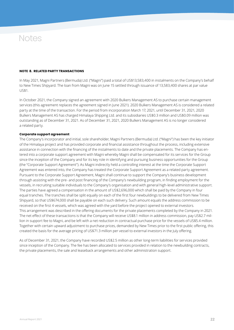### **NOTE 8. RELATED PARTY TRANSACTIONS**

In May 2021, Magni Partners (Bermuda) Ltd. ("Magni") paid a total of US\$13,583,400 in instalments on the Company's behalf to New Times Shipyard. The loan from Magni was on June 15 settled through issuance of 13,583,400 shares at par value US\$1.

In October 2021, the Company signed an agreement with 2020 Bulkers Management AS to purchase certain management services (this agreement replaces the agreement signed in June 2021). 2020 Bulkers Management AS is considered a related party at the time of the transaction. For the period from incorporation March 17, 2021, until December 31, 2021, 2020 Bulkers Management AS has charged Himalaya Shipping Ltd. and its subsidiaries US\$0.3 million and US\$0.09 million was outstanding as of December 31, 2021. As of December 31, 2021, 2020 Bulkers Management AS is no longer considered a related party.

### **Corporate support agreement**

The Company's incorporator and initial, sole shareholder, Magni Partners (Bermuda) Ltd. ("Magni") has been the key initiator of the Himalaya project and has provided corporate and financial assistance throughout the process, including extensive assistance in connection with the financing of the instalments to date and the private placements. The Company has entered into a corporate support agreement with Magni whereby Magni shall be compensated for its services for the Group since the inception of the Company and for its key role in identifying and pursuing business opportunities for the Group (the "Corporate Support Agreement"). As Magni indirectly held a controlling interest at the time the Corporate Support Agreement was entered into, the Company has treated the Corporate Support Agreement as a related party agreement. Pursuant to the Corporate Support Agreement, Magni shall continue to support the Company's business development through assisting with the pre- and post financing of the Company's newbuilding program, in finding employment for the vessels, in recruiting suitable individuals to the Company's organisation and with general high-level administrative support. The parties have agreed a compensation in the amount of US\$2,696,000 which shall be paid by the Company in four equal tranches. The tranches shall be split equally on each of the first four newbuildings to be delivered from New Times Shipyard, so that US\$674,000 shall be payable on each such delivery. Such amount equals the address commission to be received on the first 4 vessels, which was agreed with the yard before the project opened to external investors. This arrangement was described in the offering documents for the private placements completed by the Company in 2021. The net effect of these transactions is that the Company will receive US\$8.1 million in address commission, pay US\$2.7 million in support fee to Magni, and be left with a net reduction in contractual purchase price for the vessels of US\$5.4 million. Together with certain upward adjustment to purchase prices, demanded by New Times prior to the first public offering, this created the basis for the average pricing of US\$71.3 million per vessel to external investors in the July offering.

As of December 31, 2021, the Company have recorded US\$2.5 million as other long-term liabilities for services provided since inception of the Company. The fee has been allocated to services provided in relation to the newbuilding contracts, the private placements, the sale and leaseback arrangements and other administration support.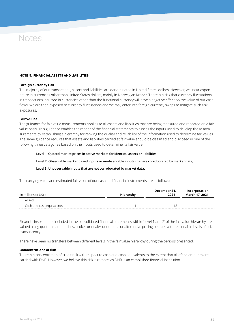### **NOTE 9. FINANCIAL ASSETS AND LIABILITIES**

#### **Foreign currency risk**

The majority of our transactions, assets and liabilities are denominated in United States dollars. However, we incur expenditure in currencies other than United States dollars, mainly in Norwegian Kroner. There is a risk that currency fluctuations in transactions incurred in currencies other than the functional currency will have a negative effect on the value of our cash flows. We are then exposed to currency fluctuations and we may enter into foreign currency swaps to mitigate such risk exposures.

### **Fair values**

The guidance for fair value measurements applies to all assets and liabilities that are being measured and reported on a fair value basis. This guidance enables the reader of the financial statements to assess the inputs used to develop those measurements by establishing a hierarchy for ranking the quality and reliability of the information used to determine fair values. The same guidance requires that assets and liabilities carried at fair value should be classified and disclosed in one of the following three categories based on the inputs used to determine its fair value:

#### **Level 1: Quoted market prices in active markets for identical assets or liabilities;**

#### **Level 2: Observable market based inputs or unobservable inputs that are corroborated by market data;**

#### **Level 3: Unobservable inputs that are not corroborated by market data.**

The carrying value and estimated fair value of our cash and financial instruments are as follows:

| (In millions of US\$)     | Hierarchv | December 31.<br>2021 | Incorporation<br><b>March 17, 2021</b> |
|---------------------------|-----------|----------------------|----------------------------------------|
| Assets                    |           |                      |                                        |
| Cash and cash equivalents |           |                      |                                        |

Financial instruments included in the consolidated financial statements within 'Level 1 and 2' of the fair value hierarchy are valued using quoted market prices, broker or dealer quotations or alternative pricing sources with reasonable levels of price transparency.

There have been no transfers between different levels in the fair value hierarchy during the periods presented.

### **Concentrations of risk**

There is a concentration of credit risk with respect to cash and cash equivalents to the extent that all of the amounts are carried with DNB. However, we believe this risk is remote, as DNB is an established financial institution.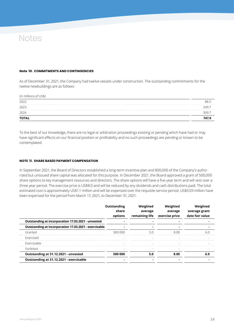### **Note 10. COMMITMENTS AND CONTINGENCIES**

As of December 31, 2021, the Company had twelve vessels under construction. The outstanding commitments for the twelve newbuildings are as follows:

| (In millions) |      |
|---------------|------|
| 2022          |      |
| 2023          | 3491 |
| 2024          |      |
| <b>TOTAL</b>  |      |

To the best of our knowledge, there are no legal or arbitration proceedings existing or pending which have had or may have significant effects on our financial position or profitability and no such proceedings are pending or known to be contemplated.

### **NOTE 11. SHARE BASED PAYMENT COMPENSATION**

In September 2021, the Board of Directors established a long-term incentive plan and 800,000 of the Company's authorized but unissued share capital was allocated for this purpose. In December 2021, the Board approved a grant of 500,000 share options to key management resources and directors. The share options will have a five-year term and will vest over a three year period. The exercise price is US\$8.0 and will be reduced by any dividends and cash distributions paid. The total estimated cost is approximately US\$1.1 million and will be expensed over the requisite service period. US\$0.03 million have been expensed for the period from March 17, 2021, to December 31, 2021.

|                                                       | Outstanding<br>share<br>options | average<br>remaining life | weighted<br>average<br>exercise price | average grant<br>date fair value |
|-------------------------------------------------------|---------------------------------|---------------------------|---------------------------------------|----------------------------------|
| Outstanding at incorporation 17.03.2021 - unvested    |                                 |                           |                                       |                                  |
| Outstanding at incorporation 17.03.2021 - exercisable |                                 |                           |                                       |                                  |
| Granted                                               | 500.00C                         |                           | 8 OO                                  |                                  |
| Fxercised                                             |                                 |                           |                                       |                                  |
| Exercisable                                           |                                 |                           |                                       |                                  |
| Forfeited                                             |                                 |                           |                                       |                                  |
| Outstanding at 31.12.2021 - unvested                  | 500.000                         | 5.0                       | 8.00                                  |                                  |
| Outstanding at 31.12.2021 - exercisable               |                                 |                           |                                       |                                  |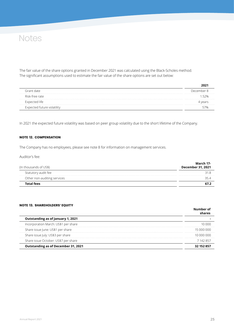The fair value of the share options granted in December 2021 was calculated using the Black-Scholes method. The significant assumptions used to estimate the fair value of the share options are set out below:

| Tant date                  | ' Jeremher 8 |
|----------------------------|--------------|
| Risk-free rate             |              |
| Expected life              |              |
| Expected future volatility |              |
|                            |              |

In 2021 the expected future volatility was based on peer group volatility due to the short lifetime of the Company.

### **NOTE 12. COMPENSATION**

The Company has no employees, please see note 8 for information on management services.

| Auditor's fee: |  |  |  |
|----------------|--|--|--|
|----------------|--|--|--|

| (In thousands of US\$)      | December 31, 2021 |
|-----------------------------|-------------------|
| Statutory audit fee         | .                 |
| Other non-auditing services |                   |
| Total fees                  |                   |

### **NOTE 13. SHAREHOLDERS' EQUITY**

| Outstanding as of January 1, 2021          |            |
|--------------------------------------------|------------|
| Incorporation March: US\$1 per share       |            |
| Share issue June: US\$1 per share          | 15 000 000 |
| Share issue July: US\$3 per share          | 10 000 000 |
| Share issue October: US\$7 per share       | 7 142 857  |
| <b>Outstanding as of December 31, 2021</b> | 32 152 857 |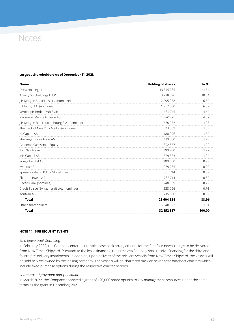### **Largest shareholders as of December 31, 2021:**

| <b>Name</b>                                | <b>Holding of shares</b> | In%    |
|--------------------------------------------|--------------------------|--------|
| Drew Holdings Ltd                          | 13 345 285               | 41.51  |
| Affinity Shipholdings I LLP                | 3 2 2 8 0 9 6            | 10.04  |
| J.P. Morgan Securities LLC (nominee)       | 2095238                  | 6.52   |
| Citibank, N.A. (nominee)                   | 1952380                  | 6.07   |
| Verdipapirfondet DNB SMB                   | 1484715                  | 4.62   |
| Klaveness Marine Finance AS                | 1 470 475                | 4.57   |
| J.P. Morgan Bank Luxembourg S.A. (nominee) | 630 952                  | 1.96   |
| The Bank of New York Mellon (nominee)      | 523809                   | 1.63   |
| HI Capital AS                              | 488096                   | 1.52   |
| Stavanger Forvaltning AS                   | 410 000                  | 1.28   |
| Goldman Sachs Int. - Equity                | 392 857                  | 1.22   |
| Tor Olav Trøim                             | 390 900                  | 1.22   |
| MH Capital AS                              | 329 333                  | 1.02   |
| Songa Capital AS                           | 300 000                  | 0.93   |
| Kvantia AS                                 | 289 285                  | 0.90   |
| Spesialfondet KLP Alfa Global Ener         | 285714                   | 0.89   |
| Skattum Invest AS                          | 285 714                  | 0.89   |
| Caceis Bank (nominee)                      | 248 589                  | 0.77   |
| Credit Suisse (Switzerland) Ltd. (nominee) | 238 096                  | 0.74   |
| Kontrari AS                                | 215 000                  | 0.67   |
| <b>Total</b>                               | 28 604 534               | 88.96  |
| Other shareholders                         | 3 5 4 8 3 2 3            | 11.04  |
| <b>Total</b>                               | 32 152 857               | 100.00 |

### **NOTE 14. SUBSEQUENT EVENTS**

#### *Sale lease back financing*

In February 2022, the Company entered into sale lease back arrangements for the first four newbuildings to be delivered from New Times Shipyard. Pursuant to the lease financing, the Himalaya Shipping shall receive financing for the third and fourth pre-delivery instalments. In addition, upon delivery of the relevant vessels from New Times Shipyard, the vessels will be sold to SPVs owned by the leasing company. The vessels will be chartered back on seven year bareboat charters which include fixed purchase options during the respective charter periods.

### *Share based payment compensation*

In March 2022, the Company approved a grant of 120,000 share options to key management resources under the same terms as the grant in December, 2021.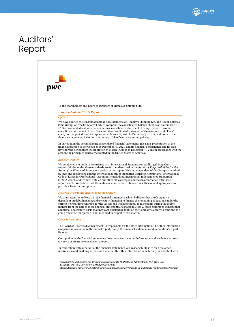

### <span id="page-26-0"></span>Auditors' Report

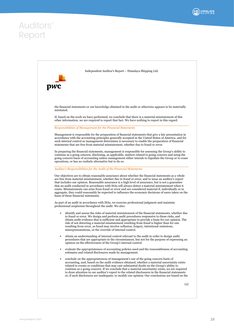

# Auditors' Report

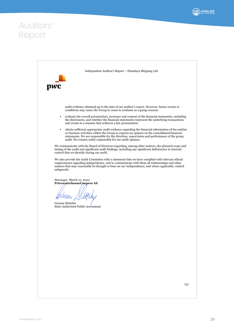

# Auditors' Report